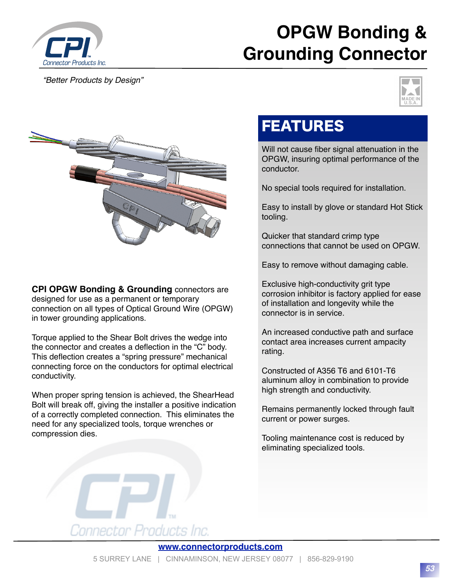

## **OPGW Bonding & Grounding Connector**

*"Better Products by Design"*





**CPI OPGW Bonding & Grounding** connectors are designed for use as a permanent or temporary connection on all types of Optical Ground Wire (OPGW) in tower grounding applications.

Torque applied to the Shear Bolt drives the wedge into the connector and creates a deflection in the "C" body. This deflection creates a "spring pressure" mechanical connecting force on the conductors for optimal electrical conductivity.

When proper spring tension is achieved, the ShearHead Bolt will break off, giving the installer a positive indication of a correctly completed connection. This eliminates the need for any specialized tools, torque wrenches or compression dies.

## FEATURES

Will not cause fiber signal attenuation in the OPGW, insuring optimal performance of the conductor.

No special tools required for installation.

Easy to install by glove or standard Hot Stick tooling.

Quicker that standard crimp type connections that cannot be used on OPGW.

Easy to remove without damaging cable.

Exclusive high-conductivity grit type corrosion inhibitor is factory applied for ease of installation and longevity while the connector is in service.

An increased conductive path and surface contact area increases current ampacity rating.

Constructed of A356 T6 and 6101-T6 aluminum alloy in combination to provide high strength and conductivity.

Remains permanently locked through fault current or power surges.

Tooling maintenance cost is reduced by eliminating specialized tools.